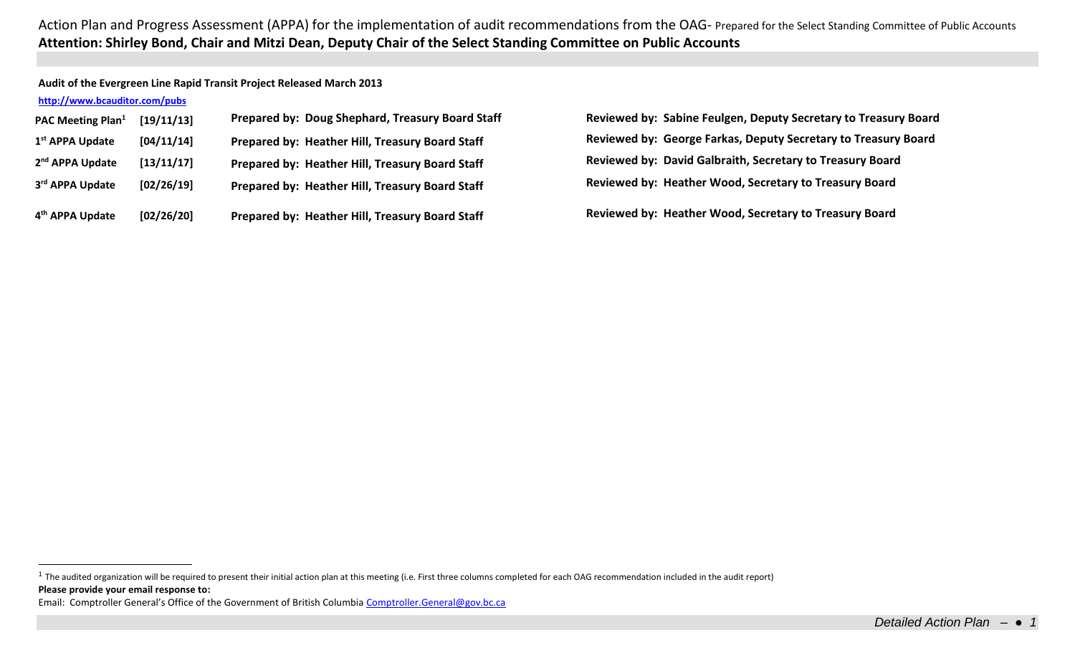**Audit of the Evergreen Line Rapid Transit Project Released March 2013**

## **<http://www.bcauditor.com/pubs>**

 $\overline{a}$ 

| PAC Meeting Plan <sup>1</sup> | [19/11/13] | Prepared by: Doug Shephard, Treasury Board Staf |
|-------------------------------|------------|-------------------------------------------------|
| 1 <sup>st</sup> APPA Update   | [04/11/14] | Prepared by: Heather Hill, Treasury Board Staff |
| 2 <sup>nd</sup> APPA Update   | [13/11/17] | Prepared by: Heather Hill, Treasury Board Staff |
| 3rd APPA Update               | [02/26/19] | Prepared by: Heather Hill, Treasury Board Staff |
| 4 <sup>th</sup> APPA Update   | [02/26/20] | Prepared by: Heather Hill, Treasury Board Staff |

**[19/11/13] Prepared by: Doug Shephard, Treasury Board Staff Reviewed by: Sabine Feulgen, Deputy Secretary to Treasury Board Reviewed by: George Farkas, Deputy Secretary to Treasury Board Reviewed by: David Galbraith, Secretary to Treasury Board Reviewed by: Heather Wood, Secretary to Treasury Board** 

**Reviewed by: Heather Wood, Secretary to Treasury Board** 

**Please provide your email response to:**  $1$  The audited organization will be required to present their initial action plan at this meeting (i.e. First three columns completed for each OAG recommendation included in the audit report)

Email: Comptroller General's Office of the Government of British Columbia [Comptroller.General@gov.bc.ca](mailto:Comptroller.General@gov.bc.ca)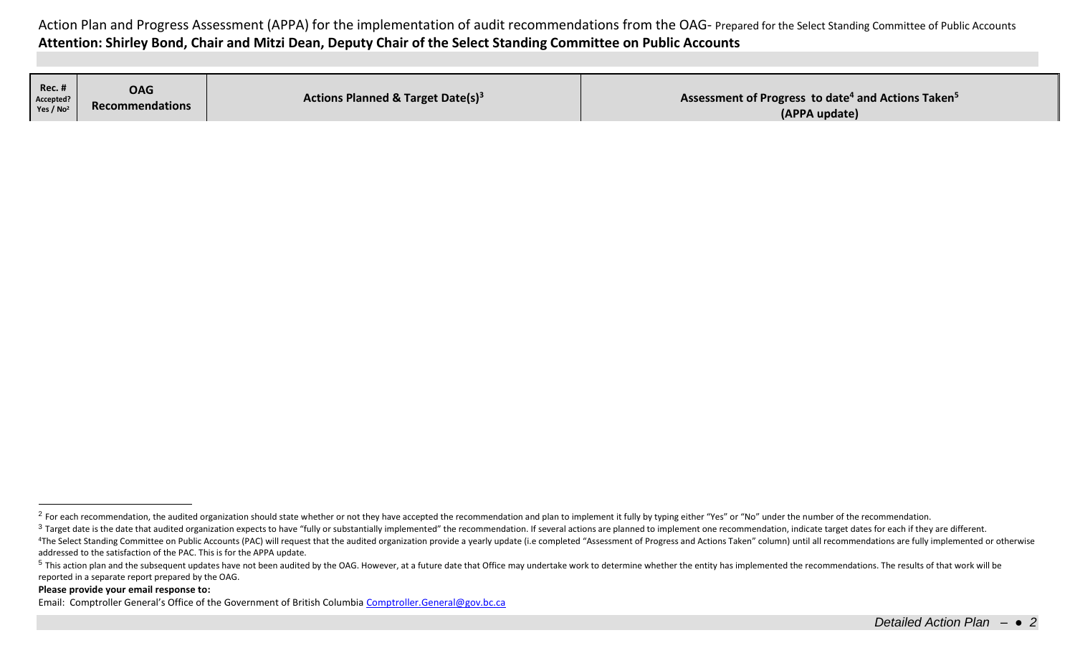| <b>Rec. #</b><br>Accepted?<br>Yes / $No2$ | <b>OAG</b><br><b>Recommendations</b> | <b>Actions Planned &amp; Target Date(s)<sup>3</sup></b> | Assessment of Progress to date <sup>4</sup> and Actions Taken <sup>5</sup><br>(APPA update) |
|-------------------------------------------|--------------------------------------|---------------------------------------------------------|---------------------------------------------------------------------------------------------|
|-------------------------------------------|--------------------------------------|---------------------------------------------------------|---------------------------------------------------------------------------------------------|

## **Please provide your email response to:**

 $\overline{a}$ 

<sup>&</sup>lt;sup>2</sup> For each recommendation, the audited organization should state whether or not they have accepted the recommendation and plan to implement it fully by typing either "Yes" or "No" under the number of the recommendation.

<sup>&</sup>lt;sup>3</sup> Target date is the date that audited organization expects to have "fully or substantially implemented" the recommendation. If several actions are planned to implement one recommendation, indicate target dates for each <sup>4</sup>The Select Standing Committee on Public Accounts (PAC) will request that the audited organization provide a yearly update (i.e completed "Assessment of Progress and Actions Taken" column) until all recommendations are f addressed to the satisfaction of the PAC. This is for the APPA update.

<sup>&</sup>lt;sup>5</sup> This action plan and the subsequent updates have not been audited by the OAG. However, at a future date that Office may undertake work to determine whether the entity has implemented the recommendations. The results of reported in a separate report prepared by the OAG.

Email: Comptroller General's Office of the Government of British Columbia [Comptroller.General@gov.bc.ca](mailto:Comptroller.General@gov.bc.ca)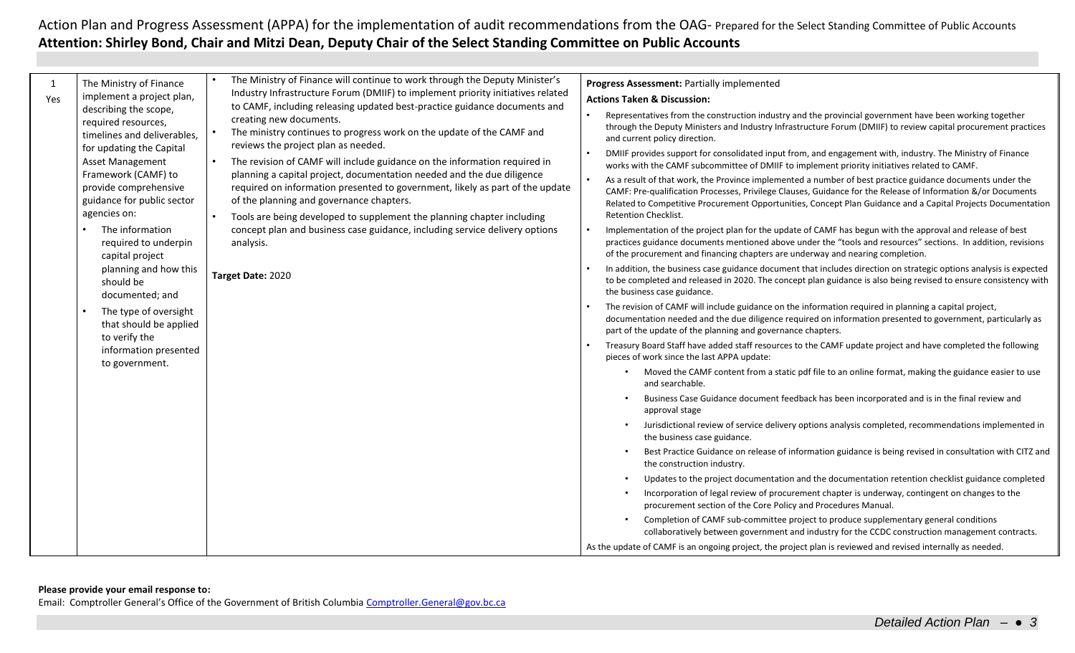Email: Comptroller General's Office of the Government of British Columbia [Comptroller.General@gov.bc.ca](mailto:Comptroller.General@gov.bc.ca)